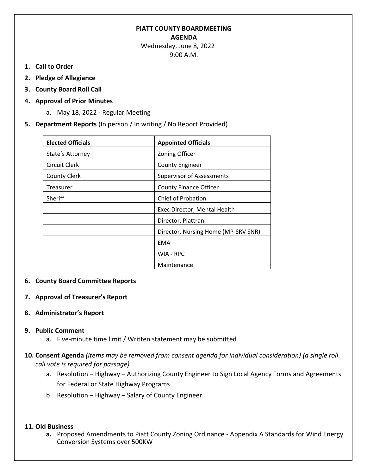# **PIATT COUNTY BOARDMEETING AGENDA**

 Wednesday, June 8, 2022 9:00 A.M.

- **1. Call to Order**
- **2. Pledge of Allegiance**
- **3. County Board Roll Call**
- **4. Approval of Prior Minutes**
	- a. May 18, 2022 Regular Meeting
- **5. Department Reports** (In person / In writing / No Report Provided)

| <b>Elected Officials</b> | <b>Appointed Officials</b>          |
|--------------------------|-------------------------------------|
| State's Attorney         | <b>Zoning Officer</b>               |
| Circuit Clerk            | <b>County Engineer</b>              |
| <b>County Clerk</b>      | <b>Supervisor of Assessments</b>    |
| Treasurer                | <b>County Finance Officer</b>       |
| <b>Sheriff</b>           | Chief of Probation                  |
|                          | Exec Director, Mental Health        |
|                          | Director, Piattran                  |
|                          | Director, Nursing Home (MP-SRV SNR) |
|                          | <b>EMA</b>                          |
|                          | WIA - RPC                           |
|                          | Maintenance                         |

### **6. County Board Committee Reports**

- **7. Approval of Treasurer's Report**
- **8. Administrator's Report**

#### **9. Public Comment**

- a. Five-minute time limit / Written statement may be submitted
- **10. Consent Agenda** *(Items may be removed from consent agenda for individual consideration) (a single roll call vote is required for passage)*
	- a. Resolution Highway Authorizing County Engineer to Sign Local Agency Forms and Agreements for Federal or State Highway Programs
	- b. Resolution Highway Salary of County Engineer

#### **11. Old Business**

**a.** Proposed Amendments to Piatt County Zoning Ordinance - Appendix A Standards for Wind Energy Conversion Systems over 500KW